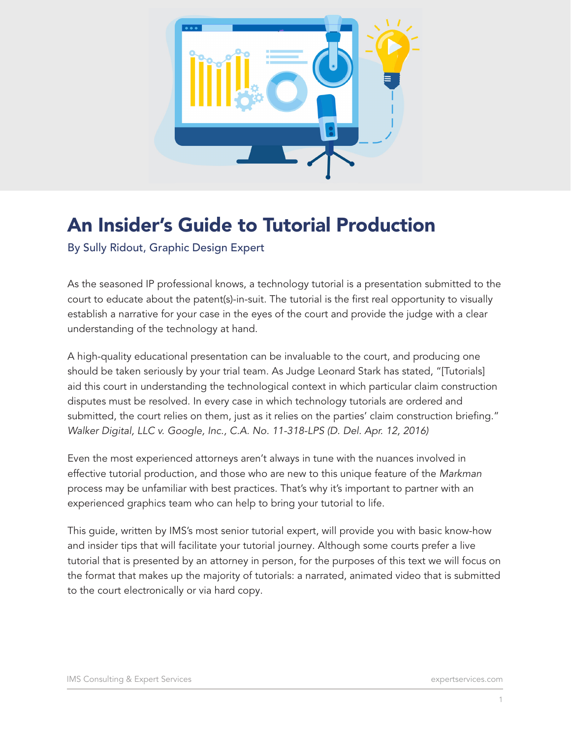

# An Insider's Guide to Tutorial Production

By Sully Ridout, Graphic Design Expert

As the seasoned IP professional knows, a technology tutorial is a presentation submitted to the court to educate about the patent(s)-in-suit. The tutorial is the first real opportunity to visually establish a narrative for your case in the eyes of the court and provide the judge with a clear understanding of the technology at hand.

A high-quality educational presentation can be invaluable to the court, and producing one should be taken seriously by your trial team. As Judge Leonard Stark has stated, "[Tutorials] aid this court in understanding the technological context in which particular claim construction disputes must be resolved. In every case in which technology tutorials are ordered and submitted, the court relies on them, just as it relies on the parties' claim construction briefing." *Walker Digital, LLC v. Google, Inc., C.A. No. 11-318-LPS (D. Del. Apr. 12, 2016)*

Even the most experienced attorneys aren't always in tune with the nuances involved in effective tutorial production, and those who are new to this unique feature of the *Markman* process may be unfamiliar with best practices. That's why it's important to partner with an experienced graphics team who can help to bring your tutorial to life.

This guide, written by IMS's most senior tutorial expert, will provide you with basic know-how and insider tips that will facilitate your tutorial journey. Although some courts prefer a live tutorial that is presented by an attorney in person, for the purposes of this text we will focus on the format that makes up the majority of tutorials: a narrated, animated video that is submitted to the court electronically or via hard copy.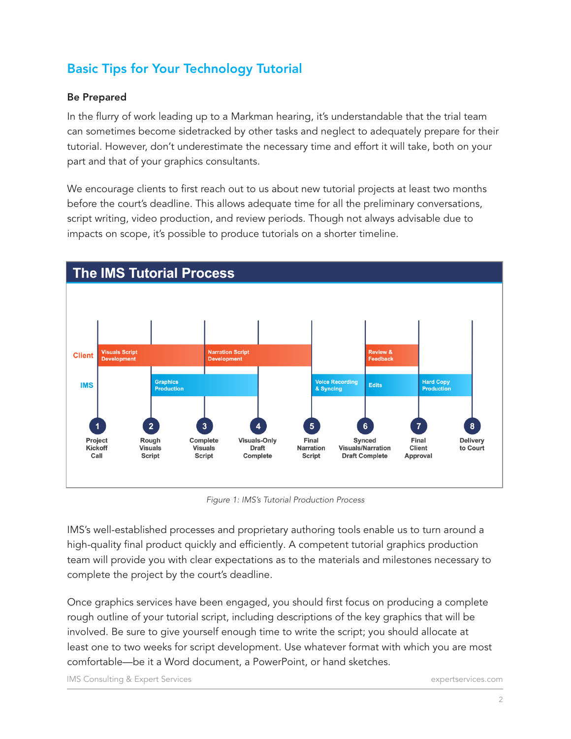## Basic Tips for Your Technology Tutorial

#### Be Prepared

In the flurry of work leading up to a Markman hearing, it's understandable that the trial team can sometimes become sidetracked by other tasks and neglect to adequately prepare for their tutorial. However, don't underestimate the necessary time and effort it will take, both on your part and that of your graphics consultants.

We encourage clients to first reach out to us about new tutorial projects at least two months before the court's deadline. This allows adequate time for all the preliminary conversations, script writing, video production, and review periods. Though not always advisable due to impacts on scope, it's possible to produce tutorials on a shorter timeline.



*Figure 1: IMS's Tutorial Production Process*

IMS's well-established processes and proprietary authoring tools enable us to turn around a high-quality final product quickly and efficiently. A competent tutorial graphics production team will provide you with clear expectations as to the materials and milestones necessary to complete the project by the court's deadline.

Once graphics services have been engaged, you should first focus on producing a complete rough outline of your tutorial script, including descriptions of the key graphics that will be involved. Be sure to give yourself enough time to write the script; you should allocate at least one to two weeks for script development. Use whatever format with which you are most comfortable—be it a Word document, a PowerPoint, or hand sketches.

IMS Consulting & Expert Services expertservices.com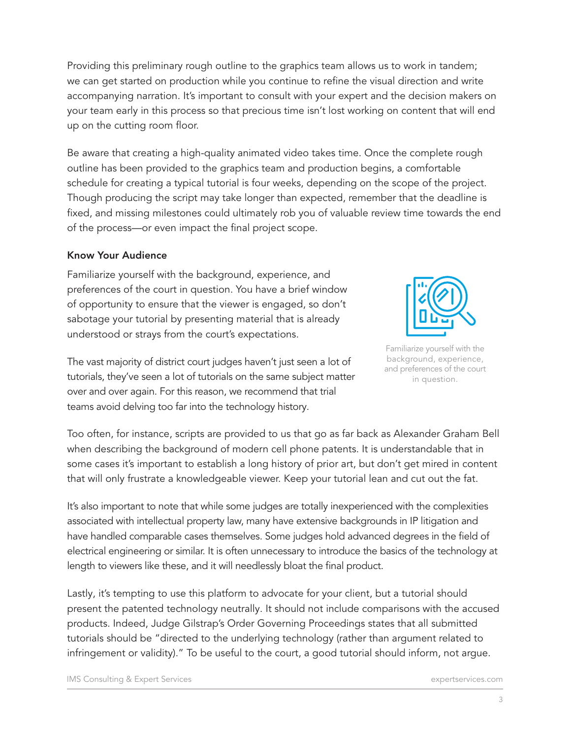Providing this preliminary rough outline to the graphics team allows us to work in tandem; we can get started on production while you continue to refine the visual direction and write accompanying narration. It's important to consult with your expert and the decision makers on your team early in this process so that precious time isn't lost working on content that will end up on the cutting room floor.

Be aware that creating a high-quality animated video takes time. Once the complete rough outline has been provided to the graphics team and production begins, a comfortable schedule for creating a typical tutorial is four weeks, depending on the scope of the project. Though producing the script may take longer than expected, remember that the deadline is fixed, and missing milestones could ultimately rob you of valuable review time towards the end of the process—or even impact the final project scope.

#### Know Your Audience

Familiarize yourself with the background, experience, and preferences of the court in question. You have a brief window of opportunity to ensure that the viewer is engaged, so don't sabotage your tutorial by presenting material that is already understood or strays from the court's expectations.



Familiarize yourself with the background, experience, and preferences of the court in question.

The vast majority of district court judges haven't just seen a lot of tutorials, they've seen a lot of tutorials on the same subject matter over and over again. For this reason, we recommend that trial teams avoid delving too far into the technology history.

Too often, for instance, scripts are provided to us that go as far back as Alexander Graham Bell when describing the background of modern cell phone patents. It is understandable that in some cases it's important to establish a long history of prior art, but don't get mired in content that will only frustrate a knowledgeable viewer. Keep your tutorial lean and cut out the fat.

It's also important to note that while some judges are totally inexperienced with the complexities associated with intellectual property law, many have extensive backgrounds in IP litigation and have handled comparable cases themselves. Some judges hold advanced degrees in the field of electrical engineering or similar. It is often unnecessary to introduce the basics of the technology at length to viewers like these, and it will needlessly bloat the final product.

Lastly, it's tempting to use this platform to advocate for your client, but a tutorial should present the patented technology neutrally. It should not include comparisons with the accused products. Indeed, Judge Gilstrap's Order Governing Proceedings states that all submitted tutorials should be "directed to the underlying technology (rather than argument related to infringement or validity)." To be useful to the court, a good tutorial should inform, not argue.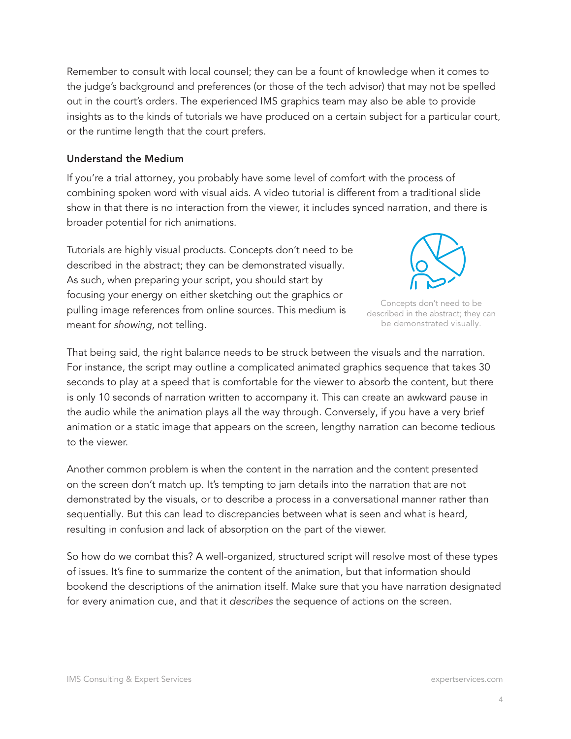Remember to consult with local counsel; they can be a fount of knowledge when it comes to the judge's background and preferences (or those of the tech advisor) that may not be spelled out in the court's orders. The experienced IMS graphics team may also be able to provide insights as to the kinds of tutorials we have produced on a certain subject for a particular court, or the runtime length that the court prefers.

#### Understand the Medium

If you're a trial attorney, you probably have some level of comfort with the process of combining spoken word with visual aids. A video tutorial is different from a traditional slide show in that there is no interaction from the viewer, it includes synced narration, and there is broader potential for rich animations.

Tutorials are highly visual products. Concepts don't need to be described in the abstract; they can be demonstrated visually. As such, when preparing your script, you should start by focusing your energy on either sketching out the graphics or pulling image references from online sources. This medium is meant for *showing*, not telling.



Concepts don't need to be described in the abstract; they can be demonstrated visually.

That being said, the right balance needs to be struck between the visuals and the narration. For instance, the script may outline a complicated animated graphics sequence that takes 30 seconds to play at a speed that is comfortable for the viewer to absorb the content, but there is only 10 seconds of narration written to accompany it. This can create an awkward pause in the audio while the animation plays all the way through. Conversely, if you have a very brief animation or a static image that appears on the screen, lengthy narration can become tedious to the viewer.

Another common problem is when the content in the narration and the content presented on the screen don't match up. It's tempting to jam details into the narration that are not demonstrated by the visuals, or to describe a process in a conversational manner rather than sequentially. But this can lead to discrepancies between what is seen and what is heard, resulting in confusion and lack of absorption on the part of the viewer.

So how do we combat this? A well-organized, structured script will resolve most of these types of issues. It's fine to summarize the content of the animation, but that information should bookend the descriptions of the animation itself. Make sure that you have narration designated for every animation cue, and that it *describes* the sequence of actions on the screen.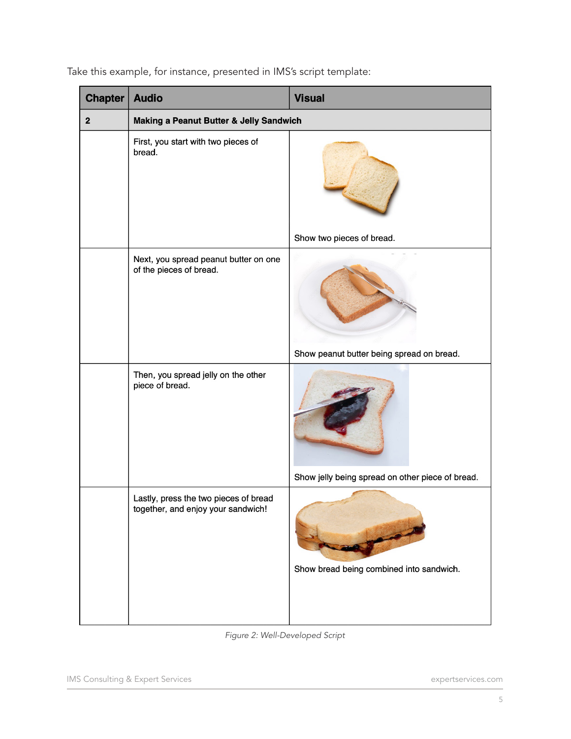| <b>Chapter</b> | <b>Audio</b>                                                                | <b>Visual</b>                                    |
|----------------|-----------------------------------------------------------------------------|--------------------------------------------------|
| $\mathbf 2$    | Making a Peanut Butter & Jelly Sandwich                                     |                                                  |
|                | First, you start with two pieces of<br>bread.                               |                                                  |
|                |                                                                             | Show two pieces of bread.                        |
|                | Next, you spread peanut butter on one<br>of the pieces of bread.            |                                                  |
|                |                                                                             | Show peanut butter being spread on bread.        |
|                | Then, you spread jelly on the other<br>piece of bread.                      |                                                  |
|                |                                                                             | Show jelly being spread on other piece of bread. |
|                | Lastly, press the two pieces of bread<br>together, and enjoy your sandwich! | Show bread being combined into sandwich.         |

Take this example, for instance, presented in IMS's script template:

*Figure 2: Well-Developed Script*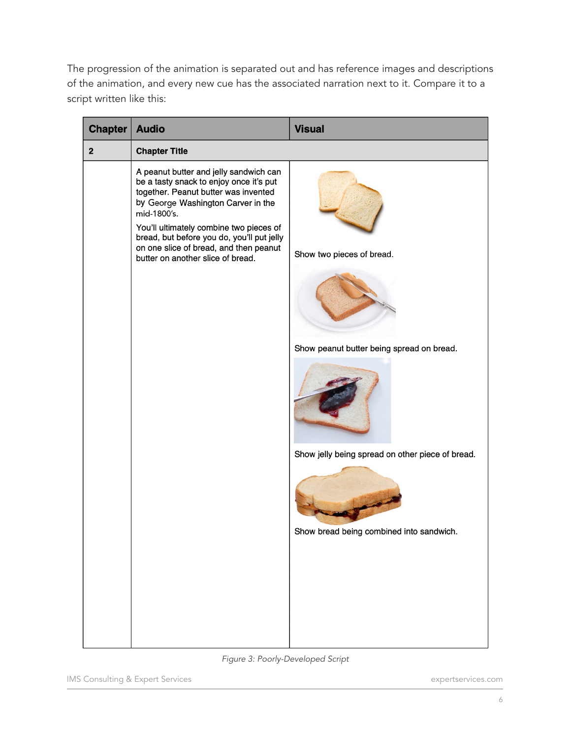The progression of the animation is separated out and has reference images and descriptions of the animation, and every new cue has the associated narration next to it. Compare it to a script written like this:

| <b>Chapter</b> | <b>Audio</b>                                                                                                                                                                                                                                                                                                                                           | <b>Visual</b>                                                                                     |
|----------------|--------------------------------------------------------------------------------------------------------------------------------------------------------------------------------------------------------------------------------------------------------------------------------------------------------------------------------------------------------|---------------------------------------------------------------------------------------------------|
| $\overline{2}$ | <b>Chapter Title</b>                                                                                                                                                                                                                                                                                                                                   |                                                                                                   |
|                | A peanut butter and jelly sandwich can<br>be a tasty snack to enjoy once it's put<br>together. Peanut butter was invented<br>by George Washington Carver in the<br>mid-1800's.<br>You'll ultimately combine two pieces of<br>bread, but before you do, you'll put jelly<br>on one slice of bread, and then peanut<br>butter on another slice of bread. | Show two pieces of bread.<br>Show peanut butter being spread on bread.                            |
|                |                                                                                                                                                                                                                                                                                                                                                        |                                                                                                   |
|                | .                                                                                                                                                                                                                                                                                                                                                      | Show jelly being spread on other piece of bread.<br>Show bread being combined into sandwich.<br>. |

*Figure 3: Poorly-Developed Script*

IMS Consulting & Expert Services expertservices.com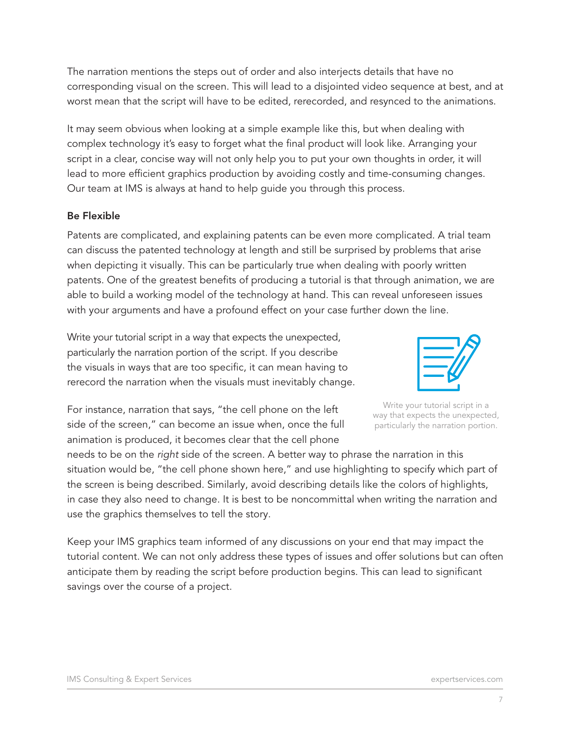The narration mentions the steps out of order and also interjects details that have no corresponding visual on the screen. This will lead to a disjointed video sequence at best, and at worst mean that the script will have to be edited, rerecorded, and resynced to the animations.

It may seem obvious when looking at a simple example like this, but when dealing with complex technology it's easy to forget what the final product will look like. Arranging your script in a clear, concise way will not only help you to put your own thoughts in order, it will lead to more efficient graphics production by avoiding costly and time-consuming changes. Our team at IMS is always at hand to help guide you through this process.

#### Be Flexible

Patents are complicated, and explaining patents can be even more complicated. A trial team can discuss the patented technology at length and still be surprised by problems that arise when depicting it visually. This can be particularly true when dealing with poorly written patents. One of the greatest benefits of producing a tutorial is that through animation, we are able to build a working model of the technology at hand. This can reveal unforeseen issues with your arguments and have a profound effect on your case further down the line.

Write your tutorial script in a way that expects the unexpected, particularly the narration portion of the script. If you describe the visuals in ways that are too specific, it can mean having to rerecord the narration when the visuals must inevitably change.



Write your tutorial script in a way that expects the unexpected, particularly the narration portion.

For instance, narration that says, "the cell phone on the left side of the screen," can become an issue when, once the full animation is produced, it becomes clear that the cell phone

needs to be on the *right* side of the screen. A better way to phrase the narration in this situation would be, "the cell phone shown here," and use highlighting to specify which part of the screen is being described. Similarly, avoid describing details like the colors of highlights, in case they also need to change. It is best to be noncommittal when writing the narration and use the graphics themselves to tell the story.

Keep your IMS graphics team informed of any discussions on your end that may impact the tutorial content. We can not only address these types of issues and offer solutions but can often anticipate them by reading the script before production begins. This can lead to significant savings over the course of a project.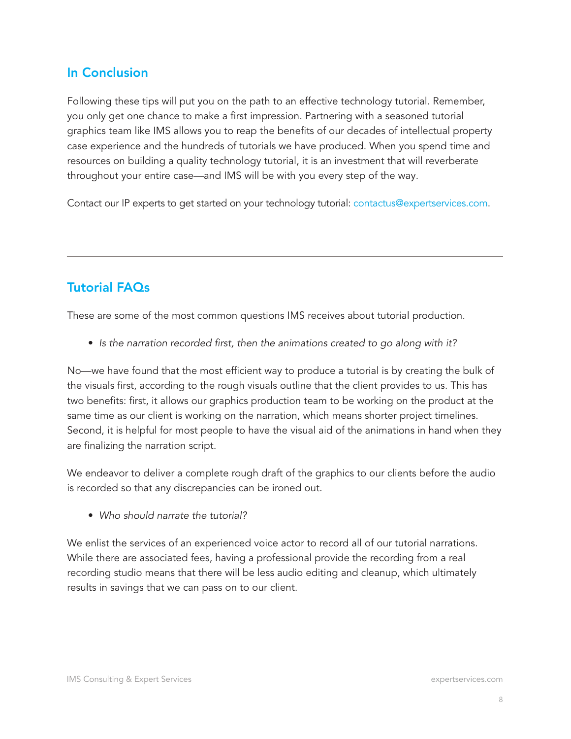## In Conclusion

Following these tips will put you on the path to an effective technology tutorial. Remember, you only get one chance to make a first impression. Partnering with a seasoned tutorial graphics team like IMS allows you to reap the benefits of our decades of intellectual property case experience and the hundreds of tutorials we have produced. When you spend time and resources on building a quality technology tutorial, it is an investment that will reverberate throughout your entire case—and IMS will be with you every step of the way.

Contact our IP experts to get started on your technology tutorial: contactus@expertservices.com.

### Tutorial FAQs

These are some of the most common questions IMS receives about tutorial production.

• *Is the narration recorded first, then the animations created to go along with it?*

No—we have found that the most efficient way to produce a tutorial is by creating the bulk of the visuals first, according to the rough visuals outline that the client provides to us. This has two benefits: first, it allows our graphics production team to be working on the product at the same time as our client is working on the narration, which means shorter project timelines. Second, it is helpful for most people to have the visual aid of the animations in hand when they are finalizing the narration script.

We endeavor to deliver a complete rough draft of the graphics to our clients before the audio is recorded so that any discrepancies can be ironed out.

• *Who should narrate the tutorial?*

We enlist the services of an experienced voice actor to record all of our tutorial narrations. While there are associated fees, having a professional provide the recording from a real recording studio means that there will be less audio editing and cleanup, which ultimately results in savings that we can pass on to our client.